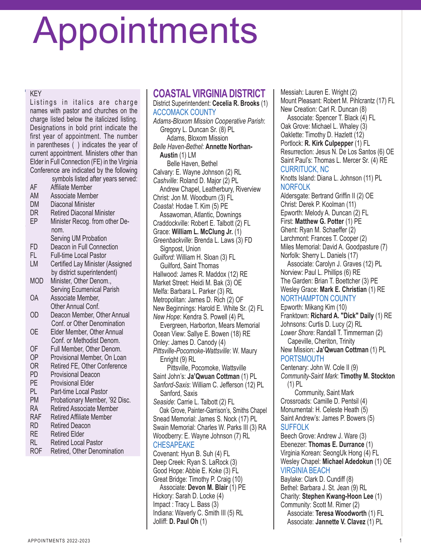# Appointments

#### KEY

KEY<br>Listings in italics are charge<br>names with pastor and churches on the Listings in italics are charge charge listed below the italicized listing. Designations in bold print indicate the first year of appointment. The number in parentheses () indicates the year of current appointment. Ministers other than Elder in Full Connection (FE) in the Virginia Conference are indicated by the following

he Virginia United Methodist

symbols listed after years served:

- AF Affiliate Member
- AM Associate Member
- DM Diaconal Minister **DM** Diaconal Minister
- DR Retired Diaconal Minister
- EP Minister Recog. from other De-The Grants Committee will communi-nom. categories with district and conference leadership of the Service leadership of the Service leadership of the S
- FD Deacon in Full Connection
- FL Full-time Local Pastor
- LM Certified Lay Minister (Assigned **by district superintendent)**
- MOD Minister, Other Denom., Serving Ecumenical Parish
- OA Associate Member, emergency Financial Conf.
- OD Deacon Member, Other Annual **Superintendent and approximation** Conf. or Other Denomination
- OE Elder Member, Other Annual Conf. or Methodist Denom.
- OF Full Member, Other Denom.<br>OP Provisional Member On Loa
- OP Provisional Member, On Loan<br>OR Retired FE. Other Conference
- OR Retired FE, Other Conference<br>PD Provisional Deacon
- PD Provisional Deacon<br>PF Provisional Flder
- 
- PE Provisional Elder<br>PL Part-time Local P PL Part-time Local Pastor<br>PM Probationary Member
- Probationary Member, '92 Disc.
- RA Retired Associate Member<br>RAF Retired Affiliate Member
- RAF Retired Affiliate Member<br>RD Retired Deacon
- RD Retired Deacon<br>RF Retired Flder
- Retired Flder
- RL Retired Local Pastor<br>ROF Retired. Other Denor
- Retired, Other Denomination

**COASTAL VIRGINIA DISTRICT** District Superintendent: **Cecelia R. Brooks** (1) ACCOMACK COUNTY *Adams-Bloxom Mission Cooperative Parish*: Gregory L. Duncan Sr. (8) PL Adams, Bloxom Mission *Belle Haven-Bethel*: **Annette Northan-Austin** (1) LM Belle Haven, Bethel Calvary: E. Wayne Johnson (2) RL *Cashville*: Roland D. Major (2) PL Andrew Chapel, Leatherbury, Riverview Christ: Jon M. Woodburn (3) FL *Coastal*: Hodae T. Kim (5) PE Assawoman, Atlantic, Downings Craddockville: Robert E. Talbott (2) FL Grace: **William L. McClung Jr.** (1) *Greenbackville*: Brenda L. Laws (3) FD Signpost, Union *Guilford*: William H. Sloan (3) FL Guilford, Saint Thomas Hallwood: James R. Maddox (12) RE Market Street: Heidi M. Bak (3) OE Melfa: Barbara L. Parker (3) RL Metropolitan: James D. Rich (2) OF New Beginnings: Harold E. White Sr. (2) FL *New Hope*: Kendra S. Powell (4) PL Evergreen, Harborton, Mears Memorial Ocean View: Sallye E. Bowen (18) RE Onley: James D. Canody (4) *Pittsville-Pocomoke-Wattsville*: W. Maury Enright (9) RL Pittsville, Pocomoke, Wattsville Saint John's: **Ja'Qwuan Cottman** (1) PL *Sanford-Saxis*: William C. Jefferson (12) PL Sanford, Saxis *Seaside*: Carrie L. Talbott (2) FL Oak Grove, Painter-Garrison's, Smiths Chapel Snead Memorial: James S. Nock (17) PL Swain Memorial: Charles W. Parks III (3) RA Woodberry: E. Wayne Johnson (7) RL CHESAPEAKE Covenant: Hyun B. Suh (4) FL Deep Creek: Ryan S. LaRock (3) Good Hope: Abbie E. Koke (3) FL Great Bridge: Timothy P. Craig (10)

Associate: **Devon M. Blair** (1) PE Hickory: Sarah D. Locke (4) Impact : Tracy L. Bass (3) Indiana: Waverly C. Smith III (5) RL Jolliff: **D. Paul Oh** (1)

Messiah: Lauren E. Wright (2) Mount Pleasant: Robert M. Pihlcrantz (17) FL New Creation: Carl R. Duncan (8)

Associate: Spencer T. Black (4) FL Oak Grove: Michael L. Whaley (3) Oaklette: Timothy D. Hazlett (12) Portlock: **R. Kirk Culpepper** (1) FL Resurrection: Jesus N. De Los Santos (6) OE Saint Paul's: Thomas L. Mercer Sr. (4) RE CURRITUCK, NC

Knotts Island: Diana L. Johnson (11) PL NORFOLK

Aldersgate: Bertrand Griffin II (2) OE Christ: Derek P. Koolman (11) Epworth: Melody A. Duncan (2) FL First: **Matthew G. Potter** (1) PE Ghent: Ryan M. Schaeffer (2) Larchmont: Frances T. Cooper (2) Miles Memorial: David A. Goodpasture (7) Norfolk: Sherry L. Daniels (17)

Associate: Carolyn J. Graves (12) PL Norview: Paul L. Phillips (6) RE The Garden: Brian T. Boettcher (3) PE Wesley Grace: **Mark E. Christian** (1) RE

NORTHAMPTON COUNTY

Epworth: Mikang Kim (10) Franktown: **Richard A. "Dick" Daily** (1) RE Johnsons: Curtis D. Lucy (2) RL *Lower Shore*: Randall T. Timmerman (2) Capeville, Cheriton, Trinity

New Mission: **Ja'Qwuan Cottman** (1) PL PORTSMOUTH

Centenary: John W. Cole II (9) *Community-Saint Mark*: **Timothy M. Stockton** (1) PL

 Community, Saint Mark Crossroads: Camille D. Pentsil (4) Monumental: H. Celeste Heath (5) Saint Andrew's: James P. Bowers (5) SUFFOLK

Beech Grove: Andrew J. Ware (3) Ebenezer: **Thomas E. Durrance** (1) Virginia Korean: SeongUk Hong (4) FL Wesley Chapel: **Michael Adedokun** (1) OE VIRGINIA BEACH

Baylake: Clark D. Cundiff (8) Bethel: Barbara J. St. Jean (9) RL Charity: **Stephen Kwang-Hoon Lee** (1) Community: Scott M. Rimer (2) Associate: **Teresa Woodworth** (1) FL Associate: **Jannette V. Clavez** (1) PL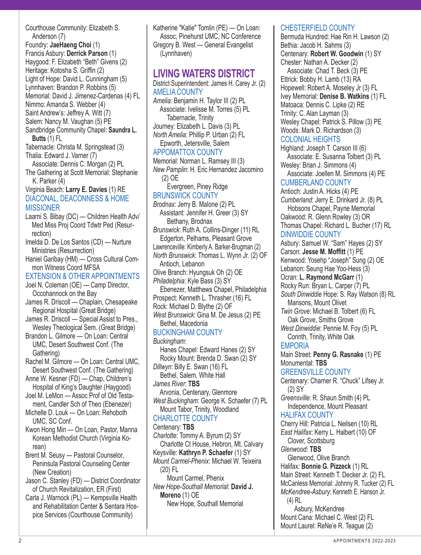Courthouse Community: Elizabeth S. Anderson (7) Foundry: **JaeHaeng Choi** (1) Francis Asbury: **Derrick Parson** (1) Haygood: F. Elizabeth "Beth" Givens (2) Heritage: Kotosha S. Griffin (2) Light of Hope: David L. Cunningham (5) Lynnhaven: Brandon P. Robbins (5) Memorial: David J. Jimenez-Cardenas (4) FL Nimmo: Amanda S. Webber (4) Saint Andrew's: Jeffrey A. Witt (7) Salem: Nancy M. Vaughan (5) PE Sandbridge Community Chapel: **Saundra L. Butts** (1) FL Tabernacle: Christa M. Springstead (3) Thalia: Edward J. Varner (7) Associate: Dennis C. Morgan (2) PL The Gathering at Scott Memorial: Stephanie K. Parker (4) Virginia Beach: **Larry E. Davies** (1) RE DIACONAL, DEACONNESS & HOME **MISSIONER** Laarni S. Bibay (DC) — Children Health Adv/ Med Miss Proj Coord Tdwtr Ped (Resurrection) Imelda D. De Los Santos (CD) — Nurture Ministries (Resurrection) Haniel Garibay (HM) — Cross Cultural Common Witness Coord MFSA EXTENSION & OTHER APPOINTMENTS Joel N. Coleman (OE) — Camp Director, Occohannock on the Bay James R. Driscoll — Chaplain, Chesapeake Regional Hospital (Great Bridge) James R. Driscoll — Special Assist to Pres., Wesley Theological Sem. (Great Bridge) Brandon L. Gilmore — On Loan: Central UMC, Desert Southwest Conf. (The Gathering) Rachel M. Gilmore — On Loan: Central UMC, Desert Southwest Conf. (The Gathering) Anne W. Kesner (FD) — Chap, Children's Hospital of King's Daughter (Haygood) Joel M. LeMon — Assoc Prof of Old Testament, Candler Sch of Theo (Ebenezer) Michelle D. Louk — On Loan: Rehoboth UMC, SC Conf. Kwon Hong Min — On Loan, Pastor, Manna Korean Methodist Church (Virginia Korean) Brent M. Seusy — Pastoral Counselor,

Peninsula Pastoral Counseling Center (New Creation)

Jason C. Stanley (FD) — District Coordinator of Church Revitalization, ER (First)

Carla J. Warnock (PL) — Kempsville Health and Rehabilitation Center & Sentara Hospice Services (Courthouse Community)

Katherine "Katie" Tomlin (PE) — On Loan: Assoc, Pinehurst UMC, NC Conference Gregory B. West — General Evangelist (Lynnhaven)

# **LIVING WATERS DISTRICT**

District Superintendent: James H. Carey Jr. (2) AMELIA COUNTY

*Amelia*: Benjamin H. Taylor III (2) PL Associate: Ivelisse M. Torres (5) PL Tabernacle, Trinity Journey: Elizabeth L. Davis (3) PL *North Amelia*: Phillip P. Urban (2) FL Epworth, Jetersville, Salem

#### APPOMATTOX COUNTY

Memorial: Norman L. Ramsey III (3) *New Pamplin*: H. Eric Hernandez Jacomino (2) OE

 Evergreen, Piney Ridge BRUNSWICK COUNTY

*Brodnax*: Jerry B. Malone (2) PL Assistant: Jennifer H. Greer (3) SY Bethany, Brodnax

*Brunswick*: Ruth A. Collins-Dinger (11) RL Edgerton, Pelhams, Pleasant Grove

Lawrenceville: Kimberly A. Barker-Brugman (2) *North Brunswick*: Thomas L. Wynn Jr. (2) OF Antioch, Lebanon

Olive Branch: Hyungsuk Oh (2) OE

*Philadelphia*: Kyle Bass (3) SY Ebenezer, Matthews Chapel, Philadelphia Prospect: Kenneth L. Thrasher (16) FL Rock: Michael D. Blythe (2) OF

*West Brunswick*: Gina M. De Jesus (2) PE Bethel, Macedonia

#### BUCKINGHAM COUNTY

*Buckingham*: Hanes Chapel: Edward Hanes (2) SY Rocky Mount: Brenda D. Swan (2) SY *Dillwyn*: Billy E. Swan (16) FL Bethel, Salem, White Hall *James River*: **TBS** Arvonia, Centenary, Glenmore *West Buckingham*: George K. Schaefer (7) PL Mount Tabor, Trinity, Woodland CHARLOTTE COUNTY Centenary: **TBS**

*Charlotte*: Tommy A. Byrum (2) SY Charlotte Ct House, Hebron, Mt. Calvary Keysville: **Kathryn P. Schaefer** (1) SY *Mount Carmel-Phenix*: Michael W. Teixeira (20) FL Mount Carmel, Phenix

*New Hope-Southall Memorial*: **David J. Moreno** (1) OE New Hope, Southall Memorial

#### CHESTERFIELD COUNTY

Bermuda Hundred: Hae Rin H. Lawson (2) Bethia: Jacob H. Sahms (3) Centenary: **Robert W. Goodwin** (1) SY Chester: Nathan A. Decker (2)

Associate: Chad T. Beck (3) PE Ettrick: Bobby H. Lamb (13) RA Hopewell: Robert A. Moseley Jr (3) FL Ivey Memorial: **Denise B. Watkins** (1) FL Matoaca: Dennis C. Lipke (2) RE Trinity: C. Alan Layman (3) Wesley Chapel: Patrick S. Pillow (3) PE Woods: Mark D. Richardson (3)

#### COLONIAL HEIGHTS

Highland: Joseph T. Carson III (6) Associate: E. Susanna Tolbert (3) PL Wesley: Brian J. Simmons (4)

Associate: Joellen M. Simmons (4) PE CUMBERLAND COUNTY

Antioch: Justin A. Hicks (4) PE *Cumberland*: Jerry E. Drinkard Jr. (8) PL Hobsons Chapel, Payne Memorial Oakwood: R. Glenn Rowley (3) OR

Thomas Chapel: Richard L. Bucher (17) RL DINWIDDIE COUNTY

Asbury: Samuel W. "Sam" Hayes (2) SY Carson: **Jesse M. Moffitt** (1) PE Kenwood: Yosehp "Joseph" Sung (2) OE Lebanon: Seung Hae Yoo-Hess (3) Ocran: **L. Raymond McGarr** (1) Rocky Run: Bryan L. Carper (7) PL *South Dinwiddie* Hope: S. Ray Watson (8) RL Mansons, Mount Olivet

*Twin Grove*: Michael B. Tolbert (6) FL Oak Grove, Smiths Grove

*West Dinwiddie*: Pennie M. Foy (5) PL Corinth, Trinity, White Oak

#### EMPORIA

Main Street: **Penny G. Rasnake** (1) PE Monumental: **TBS**

#### GREENSVILLE COUNTY

Centenary: Charner R. "Chuck" Lifsey Jr. (2) SY

*Greensville*: R. Shaun Smith (4) PL Independence, Mount Pleasant

HALIFAX COUNTY

Cherry Hill: Patricia L. Neilsen (10) RL *East Halifax*: Kerry L. Halbert (10) OF Clover, Scottsburg *Glenwood*: **TBS** Glenwood, Olive Branch Halifax*:* **Bonnie G. Pizzeck** (1) RL Main Street: Kenneth T. Decker Jr. (2) FL McCanless Memorial: Johnny R. Tucker (2) FL *McKendree-Asbury*: Kenneth E. Hanson Jr. (4) RL Asbury, McKendree

Mount Cana: Michael C. West (2) FL Mount Laurel: ReNe'e R. Teague (2)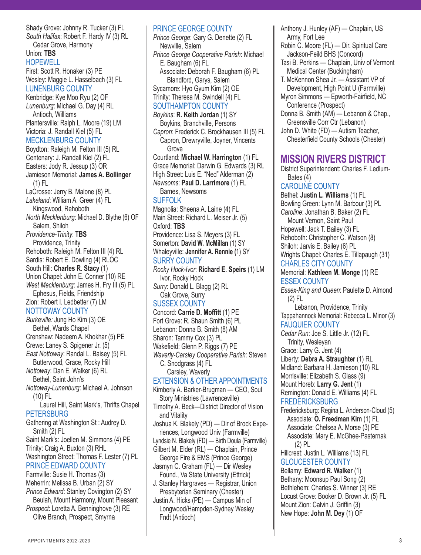Shady Grove: Johnny R. Tucker (3) FL *South Halifax*: Robert F. Hardy IV (3) RL Cedar Grove, Harmony Union: **TBS HOPEWELL** First: Scott R. Honaker (3) PE Wesley: Maggie L. Hasselbach (3) FL LUNENBURG COUNTY Kenbridge: Kye Moo Ryu (2) OF *Lunenburg*: Michael G. Day (4) RL Antioch, Williams Plantersville: Ralph L. Moore (19) LM Victoria: J. Randall Kiel (5) FL MECKLENBURG COUNTY Boydton: Raleigh M. Felton III (5) RL Centenary: J. Randall Kiel (2) FL Easters: Jody R. Jessup (3) OR Jamieson Memorial: **James A. Bollinger** (1) FL LaCrosse: Jerry B. Malone (8) PL *Lakeland*: William A. Greer (4) FL Kingswood, Rehoboth *North Mecklenburg*: Michael D. Blythe (6) OF Salem, Shiloh *Providence-Trinity*: **TBS** Providence, Trinity Rehoboth: Raleigh M. Felton III (4) RL Sardis: Robert E. Dowling (4) RLOC South Hill: **Charles R. Stacy** (1) Union Chapel: John E. Conner (10) RE *West Mecklenburg*: James H. Fry III (5) PL Ephesus, Fields, Friendship Zion: Robert I. Ledbetter (7) LM NOTTOWAY COUNTY *Burkeville:* Jung Ho Kim (3) OE Bethel, Wards Chapel Crenshaw: Nadeem A. Khokhar (5) PE Crewe: Laney S. Spigener Jr. (5) *East Nottoway*: Randal L. Baisey (5) FL Butterwood, Grace, Rocky Hill *Nottoway*: Dan E. Walker (6) RL Bethel, Saint John's *Nottoway-Lunenburg*: Michael A. Johnson (10) FL Laurel Hill, Saint Mark's, Thrifts Chapel **PETERSBURG** Gathering at Washington St : Audrey D. Smith (2) FL Saint Mark's: Joellen M. Simmons (4) PE Trinity: Craig A. Buxton (3) RHL Washington Street: Thomas F. Lester (7) PL PRINCE EDWARD COUNTY Farmville: Susie H. Thomas (3) Meherrin: Melissa B. Urban (2) SY *Prince Edward*: Stanley Covington (2) SY Beulah, Mount Harmony, Mount Pleasant *Prospect*: Loretta A. Benninghove (3) RE Olive Branch, Prospect, Smyrna

PRINCE GEORGE COUNTY *Prince George*: Gary G. Denette (2) FL Newville, Salem *Prince George Cooperative Parish*: Michael E. Baugham (6) FL Associate: Deborah F. Baugham (6) PL Blandford, Garys, Salem Sycamore: Hyo Gyum Kim (2) OE Trinity: Theresa M. Swindell (4) FL SOUTHAMPTON COUNTY *Boykins*: **R. Keith Jordan** (1) SY Boykins, Branchville, Persons *Capron*: Frederick C. Brockhausen III (5) FL Capron, Drewryville, Joyner, Vincents Grove Courtland: **Michael W. Harrington** (1) FL Grace Memorial: Darwin G. Edwards (3) RL High Street: Luis E. "Ned" Alderman (2) *Newsoms*: **Paul D. Larrimore** (1) FL Barnes, Newsoms SUFFOLK Magnolia: Sheena A. Laine (4) FL Main Street: Richard L. Meiser Jr. (5) Oxford: **TBS** Providence: Lisa S. Meyers (3) FL Somerton: **David W. McMillan** (1) SY Whaleyville: **Jennifer A. Rennie (**1) SY SURRY COUNTY *Rocky Hock-Ivor*: **Richard E. Speirs** (1) LM Ivor, Rocky Hock *Surry*: Donald L. Blagg (2) RL Oak Grove, Surry SUSSEX COUNTY Concord: **Carrie D. Moffitt** (1) PE Fort Grove: R. Shaun Smith (6) PL Lebanon: Donna B. Smith (8) AM Sharon: Tammy Cox (3) PL Wakefield: Glenn P. Riggs (7) PE *Waverly-Carsley Cooperative Parish*: Steven C. Snodgrass (4) FL Carsley, Waverly EXTENSION & OTHER APPOINTMENTS Kimberly A. Barker-Brugman — CEO, Soul Story Ministries (Lawrenceville) Timothy A. Beck—District Director of Vision and Vitality Joshua K. Blakely (PD) — Dir of Brock Experiences, Longwood Univ (Farmville) Lyndsie N. Blakely (FD) — Birth Doula (Farmville) Gilbert M. Elder (RL) — Chaplain, Prince George Fire & EMS (Prince George) Jasmyn C. Graham (FL) — Dir Wesley Found., Va State University (Ettrick) J. Stanley Hargraves — Registrar, Union Presbyterian Seminary (Chester)

Justin A. Hicks (PE) — Campus Min of Longwood/Hampden-Sydney Wesley Fndt (Antioch)

- Anthony J. Hunley (AF) Chaplain, US Army, Fort Lee
- Robin C. Moore (FL) Dir. Spiritual Care Jackson-Feild BHS (Concord)
- Tasi B. Perkins Chaplain, Univ of Vermont Medical Center (Buckingham)
- T. McKennon Shea Jr. Assistant VP of Development, High Point U (Farmville) Myron Simmons — Epworth-Fairfield, NC
- Conference (Prospect) Donna B. Smith (AM) — Lebanon & Chap.,
- Greensville Corr Ctr (Lebanon) John D. White (FD) — Autism Teacher,
	- Chesterfield County Schools (Chester)

# **MISSION RIVERS DISTRICT**

District Superintendent: Charles F. Ledlum-Bates (4)

# CAROLINE COUNTY

Bethel: **Justin L. Williams** (1) FL Bowling Green: Lynn M. Barbour (3) PL *Caroline*: Jonathan B. Baker (2) FL Mount Vernon, Saint Paul Hopewell: Jack T. Bailey (3) FL Rehoboth: Christopher C. Watson (8) Shiloh: Jarvis E. Bailey (6) PL Wrights Chapel: Charles E. Tillapaugh (31) CHARLES CITY COUNTY Memorial: **Kathleen M. Monge** (1) RE ESSEX COUNTY *Essex-King and Queen*: Paulette D. Almond (2) FL Lebanon, Providence, Trinity Tappahannock Memorial: Rebecca L. Minor (3)

FAUQUIER COUNTY *Cedar Run*: Joe S. Little Jr. (12) FL Trinity, Wesleyan Grace: Larry G. Jent (4) Liberty: **Debra A. Straughter** (1) RL Midland: Barbara H. Jamieson (10) RL Morrisville: Elizabeth S. Glass (9) Mount Horeb: **Larry G. Jent** (1) Remington: Donald E. Williams (4) FL

#### **FREDERICKSBURG**

Fredericksburg: Regina L. Anderson-Cloud (5) Associate: **O. Freedman Kim** (1) FL Associate: Chelsea A. Morse (3) PE Associate: Mary E. McGhee-Pasternak (2) PL

Hillcrest: Justin L. Williams (13) FL GLOUCESTER COUNTY

Bellamy: **Edward R. Walker** (1) Bethany: Moonsup Paul Song (2) Bethlehem: Charles S. Winner (3) RE Locust Grove: Booker D. Brown Jr. (5) FL Mount Zion: Calvin J. Griffin (3) New Hope: **John M. Dey** (1) OF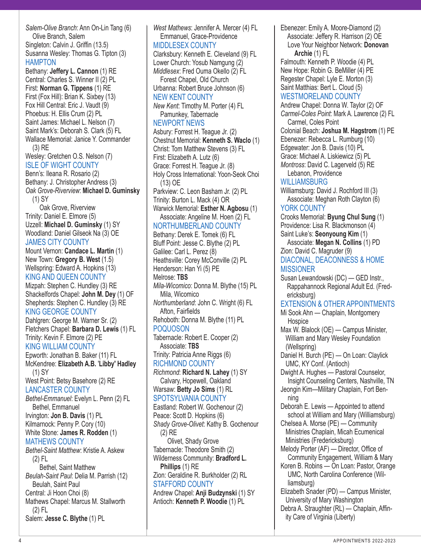*Salem-Olive Branch*: Ann On-Lin Tang (6) Olive Branch, Salem Singleton: Calvin J. Griffin (13.5) Susanna Wesley: Thomas G. Tipton (3) HAMPTON

Bethany: **Jeffery L. Cannon** (1) RE Central: Charles S. Winner II (2) PL First: **Norman G. Tippens** (1) RE First (Fox Hill): Brian K. Sixbey (13) Fox Hill Central: Eric J. Vaudt (9) Phoebus: H. Ellis Crum (2) PL Saint James: Michael L. Nelson (7) Saint Mark's: Deborah S. Clark (5) FL Wallace Memorial: Janice Y. Commander (3) RE Wesley: Gretchen O.S. Nelson (7) ISLE OF WIGHT COUNTY

Benn's: Ileana R. Rosario (2) Bethany: J. Christopher Andress (3) *Oak Grove-Riverview*: **Michael D. Guminsky** (1) SY

 Oak Grove, Riverview Trinity: Daniel E. Elmore (5) Uzzell: **Michael D. Guminsky** (1) SY Woodland: Daniel Gilseok Na (3) OE JAMES CITY COUNTY

Mount Vernon: **Candace L. Martin** (1) New Town: **Gregory B. West** (1.5) Wellspring: Edward A. Hopkins (13) KING AND QUEEN COUNTY

Mizpah: Stephen C. Hundley (3) RE Shackelfords Chapel: **John M. Dey** (1) OF Shepherds: Stephen C. Hundley (3) RE KING GEORGE COUNTY

Dahlgren: George M. Warner Sr. (2)

Fletchers Chapel: **Barbara D. Lewis** (1) FL Trinity: Kevin F. Elmore (2) PE KING WILLIAM COUNTY

Epworth: Jonathan B. Baker (11) FL McKendree: **Elizabeth A.B.** '**Libby' Hadley** (1) SY West Point: Betsy Basehore (2) RE

LANCASTER COUNTY

*Bethel-Emmanuel*: Evelyn L. Penn (2) FL Bethel, Emmanuel

Irvington: **Jon B. Davis** (1) PL Kilmarnock: Penny P. Cory (10) White Stone: **James R. Rodden** (1) MATHEWS COUNTY

*Bethel-Saint Matthew*: Kristie A. Askew (2) FL Bethel, Saint Matthew *Beulah-Saint Paul*: Delia M. Parrish (12) Beulah, Saint Paul Central: Ji Hoon Choi (8) Mathews Chapel: Marcus M. Stallworth (2) FL Salem: **Jesse C. Blythe** (1) PL

Lower Church: Yosub Namgung (2) *Middlesex*: Fred Ouma Okello (2) FL Forest Chapel, Old Church Urbanna: Robert Bruce Johnson (6) NEW KENT COUNTY *New Kent*: Timothy M. Porter (4) FL Pamunkey, Tabernacle NEWPORT NEWS Asbury: Forrest H. Teague Jr. (2) Christ: Tom Matthew Stevens (3) FL First: Elizabeth A. Lutz (6) Grace: Forrest H. Teague Jr. (8) (13) OE Parkview: C. Leon Basham Jr. (2) PL Trinity: Burton L. Mack (4) OR NORTHUMBERLAND COUNTY Bethany: Derek E. Tomek (6) FL Bluff Point: Jesse C. Blythe (2) PL Galilee: Carl L. Perez (8) Heathsville: Corey McConville (2) PL Henderson: Han Yi (5) PE Melrose: **TBS** Mila, Wicomico *Northumberland*: John C. Wright (6) FL Afton, Fairfields Rehoboth: Donna M. Blythe (11) PL POQUOSON Tabernacle: Robert E. Cooper (2) Associate: **TBS** Trinity: Patricia Anne Riggs (6) RICHMOND COUNTY *Richmond*: **Richard N. Lahey** (1) SY Calvary, Hopewell, Oakland Warsaw: **Betty Jo Sims** (1) RL SPOTSYLVANIA COUNTY Eastland: Robert W. Gochenour (2) Peace: Scott D. Hopkins (6) (2) RE Olivet, Shady Grove Tabernacle: Theodore Smith (2) Wilderness Community: **Bradford L. Phillips** (1) RE Zion: Geraldine R. Burkholder (2) RL STAFFORD COUNTY Andrew Chapel: **Anji Budzynski** (1) SY Antioch: **Kenneth P. Woodie** (1) PL

*West Mathews*: Jennifer A. Mercer (4) FL Emmanuel, Grace-Providence MIDDLESEX COUNTY Clarksbury: Kenneth E. Cleveland (9) FL Chestnut Memorial: **Kenneth S. Waclo** (1) Holy Cross International: Yoon-Seok Choi Warwick Memorial: **Esther N. Agbosu** (1) Associate: Angeline M. Hoen (2) FL *Mila-Wicomico*: Donna M. Blythe (15) PL *Shady Grove-Olivet*: Kathy B. Gochenour Ebenezer: Emily A. Moore-Diamond (2) Associate: Jeffery R. Harrison (2) OE Love Your Neighbor Network: **Donovan Archie** (1) FL Falmouth: Kenneth P. Woodie (4) PL New Hope: Robin G. BeMiller (4) PE Regester Chapel: Lyle E. Morton (3) Saint Matthias: Bert L. Cloud (5) WESTMORELAND COUNTY Andrew Chapel: Donna W. Taylor (2) OF *Carmel-Coles Point*: Mark A. Lawrence (2) FL Carmel, Coles Point Colonial Beach: **Joshua M. Hagstrom** (1) PE Ebenezer: Rebecca L. Rumburg (10) Edgewater: Jon B. Davis (10) PL Grace: Michael A. Liskiewicz (5) PL *Montross*: David C. Lagerveld (5) RE Lebanon, Providence WILLIAMSBURG Williamsburg: David J. Rochford III (3) Associate: Meghan Roth Clayton (6) YORK COUNTY Crooks Memorial: **Byung Chul Sung** (1) Providence: Lisa R. Blackmonson (4) Saint Luke's: **Seonyoung Kim** (1) Associate: **Megan N. Collins** (1) PD Zion: David C. Magruder (9) DIACONAL, DEACONNESS & HOME **MISSIONER** Susan Lewandowski (DC) — GED Instr., Rappahannock Regional Adult Ed. (Fredericksburg) EXTENSION & OTHER APPOINTMENTS Mi Sook Ahn — Chaplain, Montgomery **Hospice** Max W. Blalock (OE) — Campus Minister, William and Mary Wesley Foundation (Wellspring) Daniel H. Burch (PE) — On Loan: Claylick UMC, KY Conf. (Antioch) Dwight A. Hughes — Pastoral Counselor, Insight Counseling Centers, Nashville, TN Jeongin Kim—Military Chaplain, Fort Benning Ministries (Fredericksburg) liamsburg)

4 APPOINTMENTS 2022-2023 Deborah E. Lewis — Appointed to attend school at William and Mary (Williamsburg) Chelsea A. Morse (PE) — Community Ministries Chaplain, Micah Ecumenical Melody Porter (AF) — Director, Office of Community Engagement, William & Mary Koren B. Robins — On Loan: Pastor, Orange UMC, North Carolina Conference (Wil-Elizabeth Snader (PD) — Campus Minister, University of Mary Washington Debra A. Straughter (RL) — Chaplain, Affinity Care of Virginia (Liberty)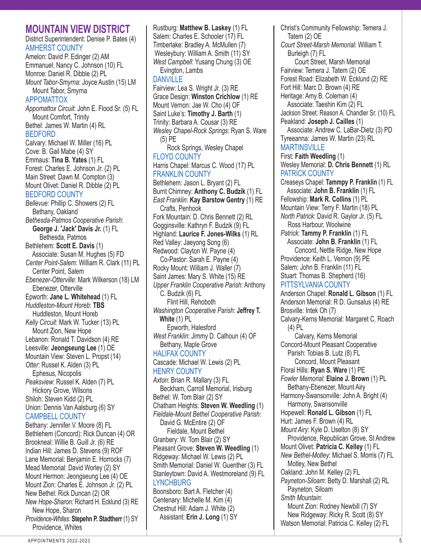## **MOUNTAIN VIEW DISTRICT**

District Superintendent: Denise P. Bates (4) AMHERST COUNTY

Amelon: David P. Edinger (2) AM Emmanuel: Nancy C. Johnson (10) FL Monroe: Daniel R. Dibble (2) PL *Mount Tabor-Smyrna*: Joyce Austin (15) LM Mount Tabor, Smyrna APPOMATTOX *Appomattox Circuit*: John E. Flood Sr. (5) FL Mount Comfort, Trinity Bethel: James W. Martin (4) RL BEDFORD Calvary: Michael W. Miller (16) PL Cove: B. Gail Mabe (4) SY Emmaus: **Tina B. Yates** (1) FL Forest: Charles E. Johnson Jr. (2) PL Main Street: Dawn M. Compton (3) Mount Olivet: Daniel R. Dibble (2) PL BEDFORD COUNTY *Bellevue*: Phillip C. Showers (2) FL Bethany, Oakland *Bethesda-Patmos Cooperative Parish*: **George J. 'Jack' Davis Jr.** (1) FL Bethesda, Patmos Bethlehem: **Scott E. Davis** (1) Associate: Susan M. Hughes (5) FD *Center Point-Salem*: William R. Clark (11) PL Center Point, Salem *Ebenezer-Otterville*: Mark Wilkerson (18) LM Ebenezer, Otterville Epworth: **Jane L. Whitehead** (1) FL *Huddleston-Mount Horeb*: **TBS** Huddleston, Mount Horeb *Kelly Circuit*: Mark W. Tucker (13) PL Mount Zion, New Hope Lebanon: Ronald T. Davidson (4) RE Leesville: **Jeongseung Lee** (1) OE Mountain View: Steven L. Propst (14) *Otter*: Russel K. Alden (3) PL Ephesus, Nicopolis *Peaksview*: Russel K. Alden (7) PL Hickory Grove, Wilsons Shiloh: Steven Kidd (2) PL Union: Dennis Van Aalsburg (6) SY CAMPBELL COUNTY Bethany: Jennifer V. Moore (8) FL Bethlehem (Concord): Rick Duncan (4) OR Brookneal: Willie B. Guill Jr. (6) RE Indian Hill: James D. Stevens (9) ROF Lane Memorial: Benjamin E. Horrocks (7) Mead Memorial: David Worley (2) SY Mount Hermon: Jeongseung Lee (4) OE Mount Zion: Charles E. Johnson Jr. (2) PL New Bethel: Rick Duncan (2) OR *New Hope-Sharon:* Richard H. Ecklund (3) RE New Hope, Sharon *Providence-Whites*: **Stepehn P. Stadtherr** (1) SY Providence, Whites

Rustburg: **Matthew B. Laskey** (1) FL Salem: Charles E. Schooler (17) FL Timberlake: Bradley A. McMullen (7) Wesleybury: William A. Smith (11) SY *West Campbell*: Yusang Chung (3) OE Evington, Lambs DANVILLE Fairview: Lea S. Wright Jr. (3) RE Grace Design: **Winston Crichlow** (1) RE Mount Vernon: Jae W. Cho (4) OF Saint Luke's: **Timothy J. Barth** (1) Trinity: Barbara A. Cousar (3) RE *Wesley Chapel-Rock Springs*: Ryan S. Ware (5) PE Rock Springs, Wesley Chapel FLOYD COUNTY Harris Chapel: Marcus C. Wood (17) PL FRANKLIN COUNTY Bethlehem: Jason L. Bryant (2) FL Burnt Chimney: **Anthony C. Budzik** (1) FL *East Franklin*: **Kay Barstow Gentry** (1) RE Crafts, Penhook Fork Mountain: D. Chris Bennett (2) RL Gogginsville: Kathryn F. Budzik (9) FL Highland: **Laurice F. Jones-Wilks** (1) RL Red Valley: Jaeyong Song (6) Redwood: Clayton W. Payne (4) Co-Pastor: Sarah E. Payne (4) Rocky Mount: William J. Waller (7) Saint James: Mary S. White (15) RE *Upper Franklin Cooperative Parish*: Anthony C. Budzik (6) FL Flint Hill, Rehoboth *Washington Cooperative Parish*: **Jeffrey T. White** (1) PL Epworth, Halesford *West Franklin*: Jimmy D. Calhoun (4) OF Bethany, Maple Grove HALIFAX COUNTY Cascade: Michael W. Lewis (2) PL HENRY COUNTY *Axton*: Brian R. Mallary (3) FL Beckham, Carroll Memorial, Irisburg Bethel: W. Tom Blair (2) SY Chatham Heights: **Steven W. Weedling** (1) *Fieldale-Mount Bethel Cooperative Parish*: David G. McEntire (2) OF Fieldale, Mount Bethel Granbery: W. Tom Blair (2) SY Pleasant Grove: **Steven W. Weedling** (1) Ridgeway: Michael W. Lewis (2) PL Smith Memorial: Daniel W. Guenther (3) FL Stanleytown: David A. Westmoreland (9) FL **LYNCHBURG** Boonsboro: Bart A. Fletcher (4) Centenary: Michelle M. Kim (4) Chestnut Hill: Adam J. White (2)

Assistant: **Erin J. Long** (1) SY

Christ's Community Fellowship: Temera J. Tatem (2) OE *Court Street-Marsh Memorial*: William T. Burleigh (7) FL Court Street, Marsh Memorial Fairview: Temera J. Tatem (2) OE Forest Road: Elizabeth W. Ecklund (2) RE Fort Hill: Marc D. Brown (4) RE Heritage: Amy B. Coleman (4) Associate: Taeshin Kim (2) FL Jackson Street: Reason A. Chandler Sr. (10) FL Peakland: **Joseph J. Cailles** (1) Associate: Andrew C. LaBar-Dietz (3) PD Tyreeanna: James W. Martin (23) RL **MARTINSVILLE** First: **Faith Weedling** (1) Wesley Memorial: **D. Chris Bennett** (1) RL PATRICK COUNTY Creaseys Chapel: **Tammpy P. Franklin** (1) FL Associate: **John B. Franklin** (1) FL Fellowship: **Mark R. Collins** (1) PL Mountain View: Terry F. Martin (18) PL *North Patrick*: David R. Gaylor Jr. (5) FL Ross Harbour, Woolwine *Patrick*: **Tammy P. Franklin** (1) FL Associate: **John B. Franklin** (1) FL Concord, Nettle Ridge, New Hope Providence: Keith L. Vernon (9) PE Salem: John B. Franklin (11) FL Stuart: Thomas B. Shepherd (16) PITTSYLVANIA COUNTY Anderson Chapel: **Ronald L. Gibson** (1) FL Anderson Memorial: R D. Gunsalus (4) RE Brosville: Intek Oh (7) Calvary-Kerns Memorial: Margaret C. Roach (4) PL Calvary, Kerns Memorial Concord-Mount Pleasant Cooperative Parish: Tobias B. Lutz (8) FL Concord, Mount Pleasant Floral Hills: **Ryan S. Ware** (1) PE *Fowler Memorial*: **Elaine J. Brown** (1) PL Bethany-Ebenezer, Mount Airy Harmony-Swansonville: John A. Bright (4) Harmony, Swansonville Hopewell: **Ronald L. Gibson** (1) FL Hurt: James F. Brown (4) RL *Mount Airy*: Kyle D. Uselton (8) SY Providence, Republican Grove, St Andrew Mount Olivet: **Patricia C. Kelley** (1) FL *New Bethel-Motley*: Michael S. Morris (7) FL Motley, New Bethel Oakland: John M. Kelley (2) FL *Payneton-Siloam*: Betty D. Marshall (2) RL Payneton, Siloam *Smith Mountain*: Mount Zion: Rodney Newbill (7) SY New Ridgeway: Ricky R. Scott (8) SY Watson Memorial: Patricia C. Kelley (2) FL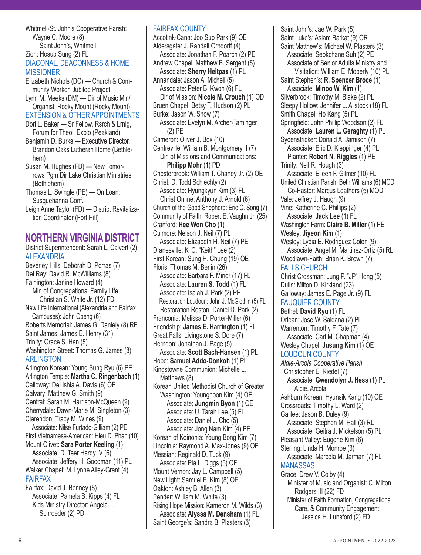Whitmell-St. John's Cooperative Parish: Wayne C. Moore (8) Saint John's, Whitmell Zion: Hosub Sung (2) FL DIACONAL, DEACONNESS & HOME **MISSIONER** Elizabeth Nichols (DC) — Church & Com-

munity Worker, Jubilee Project Lynn M. Meeks (DM) — Dir of Music Min/ Organist, Rocky Mount (Rocky Mount) EXTENSION & OTHER APPOINTMENTS Dori L. Baker — Sr Fellow, Rsrch & Lrnig,

- Forum for Theol Explo (Peakland) Benjamin D. Burks — Executive Director, Brandon Oaks Lutheran Home (Bethle-
- hem) Susan M. Hughes (FD) — New Tomorrows Pgm Dir Lake Christian Ministries
- (Bethlehem) Thomas L. Swingle (PE) — On Loan: Susquehanna Conf.
- Leigh Anne Taylor (FD) District Revitalization Coordinator (Fort Hill)

# **NORTHERN VIRGINIA DISTRICT**

District Superintendent: Sarah L. Calvert (2) ALEXANDRIA Beverley Hills: Deborah D. Porras (7) Del Ray: David R. McWilliams (8) Fairlington: Janine Howard (4) Min of Congregational Family Life: Christian S. White Jr. (12) FD New Life International (Alexandria and Fairfax Campuses): John Obeng (6) Roberts Memorial: James G. Daniely (8) RE Saint James: James E. Henry (31) Trinity: Grace S. Han (5) Washington Street: Thomas G. James (8) ARLINGTON Arlington Korean: Young Sung Ryu (6) PE Arlington Temple: **Martha C. Ringenbach** (1) Calloway: DeLishia A. Davis (6) OE Calvary: Matthew G. Smith (9) Central: Sarah M. Harrison-McQueen (9) Cherrydale: Dawn-Marie M. Singleton (3) Clarendon: Tracy M. Wines (9) Associate: Nilse Furtado-Gilliam (2) PE First Vietnamese-American: Hieu D. Phan (10) Mount Olivet: **Sara Porter Keeling** (1) Associate: D. Teer Hardy IV (6) Associate: Jeffery H. Goodman (11) PL Walker Chapel: M. Lynne Alley-Grant (4) FAIRFAX Fairfax: David J. Bonney (8) Associate: Pamela B. Kipps (4) FL Kids Ministry Director: Angela L. Schroeder (2) PD

#### FAIRFAX COUNTY

Accotink-Cana: Joo Sup Park (9) OE Aldersgate: J. Randall Orndorff (4) Associate: Jonathan F. Poarch (2) PE Andrew Chapel: Matthew B. Sergent (5) Associate: **Sherry Heitpas** (1) PL Annandale: Jason A. Micheli (5) Associate: Peter B. Kwon (6) FL Dir of Mission: **Nicole M. Crouch** (1) OD Bruen Chapel: Betsy T. Hudson (2) PL Burke: Jason W. Snow (7) Associate: Evelyn M. Archer-Taminger (2) PE Cameron: Oliver J. Box (10) Centreville: William B. Montgomery II (7) Dir. of Missions and Communications: **Philipp Mohr** (1) PD Chesterbrook: William T. Chaney Jr. (2) OE Christ: D. Todd Schlechty (2) Associate: Hyungkyun Kim (3) FL Christ Online: Anthony J. Arnold (6) Church of the Good Shepherd: Eric C. Song (7) Community of Faith: Robert E. Vaughn Jr. (25) Cranford: **Hee Won Cho** (1) Culmore: Nelson J. Neil (7) PL Associate: Elizabeth H. Neil (7) PE Dranesville: Ki C. "Keith" Lee (2) First Korean: Sung H. Chung (19) OE Floris: Thomas M. Berlin (26) Associate: Barbara F. Miner (17) FL Associate: **Lauren S. Todd** (1) FL Associate: Isaiah J. Park (2) PE Restoration Loudoun: John J. McGlothin (5) FL Restoration Reston: Daniel D. Park (2) Franconia: Melissa D. Porter-Miller (6) Friendship: **James E. Harrington** (1) FL Great Falls: Livingstone S. Dore (7) Herndon: Jonathan J. Page (5) Associate: **Scott Bach-Hansen** (1) PL Hope: **Samuel Addo-Donkoh** (1) PL Kingstowne Communion: Michelle L. Matthews (8) Korean United Methodist Church of Greater Washington: Younghoon Kim (4) OE Associate: **Jungmin Byon** (1) OE Associate: U. Tarah Lee (5) FL Associate: Daniel J. Cho (5) Associate: Jong Nam Kim (4) PE Korean of Koinonia: Young Bong Kim (7) Lincolnia: Raymond A. Max-Jones (9) OE Messiah: Reginald D. Tuck (9) Associate: Pia L. Diggs (5) OF Mount Vernon: Jay L. Campbell (5) New Light: Samuel E. Kim (8) OE Oakton: Ashley B. Allen (3) Pender: William M. White (3) Rising Hope Mission: Kameron M. Wilds (3) Associate: **Alyssa M. Densham** (1) FL Saint George's: Sandra B. Plasters (3)

Saint John's: Jae W. Park (5) Saint Luke's: Aslam Barkat (9) OR Saint Matthew's: Michael W. Plasters (3) Associate: Seokchane Suh (2) PE Associate of Senior Adults Ministry and Visitation: William E. Moberly (10) PL Saint Stephen's: **R. Spencer Broce** (1) Associate: **Minoo W. Kim** (1) Silverbrook: Timothy M. Blake (2) PL Sleepy Hollow: Jennifer L. Ailstock (18) FL Smith Chapel: Ho Kang (5) PL Springfield: John Phillip Woodson (2) FL Associate: **Lauren L. Geraghty** (1) PL Sydenstricker: Donald A. Jamison (7) Associate: Eric D. Kleppinger (4) PL Planter: **Robert N. Riggles** (1) PE Trinity: Neil R. Hough (3) Associate: Eileen F. Gilmer (10) FL United Christian Parish: Beth Williams (6) MOD Co-Pastor: Marcus Leathers (5) MOD Vale: Jeffrey J. Haugh (9) Vine: Katherine C. Phillips (2) Associate: **Jack Lee** (1) FL Washington Farm: **Claire B. Miller** (1) PE Wesley: **Jiyeon Kim** (1) Wesley: Lydia E. Rodriguez Colon (9) Associate: Angel M. Martinez-Ortiz (5) RL Woodlawn-Faith: Brian K. Brown (7) FALLS CHURCH Christ Crossman: Jung P. "JP" Hong (5) Dulin: Milton D. Kirkland (23) Galloway: James E. Page Jr. (9) FL FAUQUIER COUNTY Bethel: **David Ryu** (1) FL Orlean: Jose W. Saldana (2) PL Warrenton: Timothy F. Tate (7) Associate: Carl M. Chapman (4) Wesley Chapel: **Jusung Kim** (1) OE LOUDOUN COUNTY *Aldie-Arcola Cooperative Parish*: Christopher E. Riedel (7) Associate: **Gwendolyn J. Hess** (1) PL Aldie, Arcola Ashburn Korean: Hyunsik Kang (10) OE Crossroads: Timothy L. Ward (2) Galilee: Jason B. Duley (9) Associate: Stephen M. Hall (3) RL Associate: Geitra J. Mickelson (5) PL Pleasant Valley: Eugene Kim (6) Sterling: Linda H. Monroe (3) Associate: Marcela M. Jarman (7) FL **MANASSAS** Grace: Drew V. Colby (4) Minister of Music and Organist: C. Milton Rodgers III (22) FD Minister of Faith Formation, Congregational Care, & Community Engagement: Jessica H. Lunsford (2) FD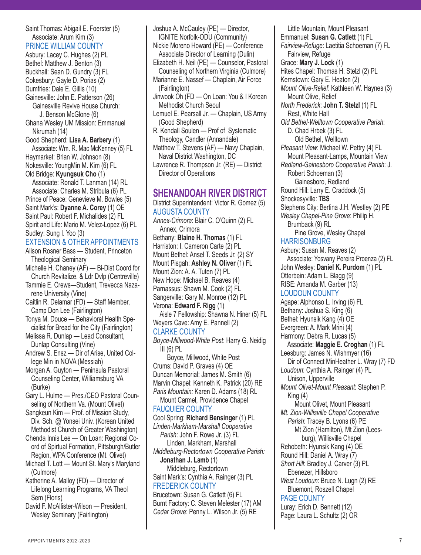APPOINTMENTS 2022-2023 7

- Saint Thomas: Abigail E. Foerster (5) Associate: Arum Kim (3) PRINCE WILLIAM COUNTY Asbury: Lacey C. Hughes (2) PL Bethel: Matthew J. Benton (3) Buckhall: Sean D. Gundry (3) FL Cokesbury: Gayle D. Porias (2) Dumfries: Dale E. Gillis (10) Gainesville: John E. Patterson (26) Gainesville Revive House Church: J. Benson McGlone (6) Ghana Wesley UM Mission: Emmanuel Nkrumah (14) Good Shepherd: **Lisa A. Barbery** (1) Associate: Wm. R. Mac McKenney (5) FL Haymarket: Brian W. Johnson (8) Nokesville: YoungMin M. Kim (6) FL Old Bridge: **Kyungsuk Cho** (1) Associate: Ronald T. Lanman (14) RL Associate: Charles M. Stribula (6) PL Prince of Peace: Genevieve M. Bowles (5) Saint Mark's: **Dyanne A. Corey** (1) OE Saint Paul: Robert F. Michalides (2) FL Spirit and Life: Mario M. Velez-Lopez (6) PL Sudley: Sung I. Yoo (3) EXTENSION & OTHER APPOINTMENTS Alison Rosner Bass — Student, Princeton Theological Seminary Michelle H. Chaney (AF) — Bi-Dist Coord for Church Revitalize. & Ldr Dvlp (Centreville) Tammie E. Crews—Student, Trevecca Nazarene University (Vine) Caitlin R. Delamar (FD) — Staff Member, Camp Don Lee (Fairlington) Tonya M. Douce — Behavioral Health Specialist for Bread for the City (Fairlington) Melissa R. Dunlap — Lead Consultant, Dunlap Consulting (Vine) Andrew S. Ensz — Dir of Arise, United College Min in NOVA (Messiah) Morgan A. Guyton — Peninsula Pastoral Counseling Center, Williamsburg VA (Burke) Gary L. Hulme — Pres./CEO Pastoral Counseling of Northern Va. (Mount Olivet) Sangkeun Kim — Prof. of Mission Study, Div. Sch. @ Yonsei Univ. (Korean United Methodist Church of Greater Washington) Chenda Innis Lee — On Loan: Regional Coord of Spirtual Formation, Pittsburgh/Butler Region, WPA Conference (Mt. Olivet) Michael T. Lott — Mount St. Mary's Maryland (Culmore) Katherine A. Malloy (FD) — Director of Lifelong Learning Programs, VA Theol Sem (Floris)
- David F. McAllister-Wilson President, Wesley Seminary (Fairlington)

IGNITE Norfolk-ODU (Community) Nickie Moreno Howard (PE) — Conference Associate Director of Learning (Dulin) Elizabeth H. Neil (PE) — Counselor, Pastoral Counseling of Northern Virginia (Culmore) Marianne E. Nassef — Chaplain, Air Force (Fairlington) Jinwook Oh (FD — On Loan: You & I Korean Methodist Church Seoul Lemuel E. Pearsall Jr. — Chaplain, US Army (Good Shepherd) R. Kendall Soulen — Prof of Systematic Theology, Candler (Annandale) Matthew T. Stevens (AF) — Navy Chaplain, Naval District Washington, DC Lawrence R. Thompson Jr. (RE) — District Director of Operations **SHENANDOAH RIVER DISTRICT** District Superintendent: Victor R. Gomez (5) AUGUSTA COUNTY *Annex-Crimora*: Blair C. O'Quinn (2) FL Annex, Crimora Bethany: **Blaine H. Thomas** (1) FL Harriston: I. Cameron Carte (2) PL Mount Bethel: Ansel T. Seeds Jr. (2) SY Mount Pisgah: **Ashley N. Oliver** (1) FL Mount Zion: A. A. Tuten (7) PL New Hope: Michael B. Reaves (4) Parnassus: Shawn M. Cook (2) FL Sangerville: Gary M. Monroe (12) PL Verona: **Edward F. Rigg** (1) Aisle 7 Fellowship: Shawna N. Hiner (5) FL Weyers Cave: Amy E. Pannell (2) CLARKE COUNTY *Boyce-Millwood-White Post*: Harry G. Neidig  $III(6)$  PL Boyce, Millwood, White Post Crums: David P. Graves (4) OE Duncan Memorial: James M. Smith (6) Marvin Chapel: Kenneth K. Patrick (20) RE *Paris Mountain:* Karen D. Adams (18) RL Mount Carmel, Providence Chapel FAUQUIER COUNTY Cool Spring: **Richard Bensinger** (1) PL *Linden-Markham-Marshall Cooperative* 

*Parish*: John F. Rowe Jr. (3) FL Linden, Markham, Marshall *Middleburg-Rectortown Cooperative Parish:* 

Brucetown: Susan G. Catlett (6) FL Burnt Factory: C. Steven Melester (17) AM *Cedar Grove*: Penny L. Wilson Jr. (5) RE

**Jonathan J. Lamb** (1) Middleburg, Rectortown Saint Mark's: Cynthia A. Rainger (3) PL

FREDERICK COUNTY

Joshua A. McCauley (PE) — Director,

Little Mountain, Mount Pleasant Emmanuel: **Susan G. Catlett** (1) FL *Fairview-Refuge*: Laetitia Schoeman (7) FL Fairview, Refuge Grace: **Mary J. Lock** (1) Hites Chapel: Thomas H. Stelzl (2) PL Kernstown: Gary E. Heaton (2) *Mount Olive-Relief*: Kathleen W. Haynes (3) Mount Olive, Relief *North Frederick*: **John T. Stelzl** (1) FL Rest, White Hall *Old Bethel-Welltown Cooperative Parish*: D. Chad Hrbek (3) FL Old Bethel, Welltown *Pleasant View*: Michael W. Pettry (4) FL Mount Pleasant-Lamps, Mountain View *Redland-Gainesboro Cooperative Parish*: J. Robert Schoeman (3) Gainesboro, Redland Round Hill: Larry E. Craddock (5) Shockesyville: **TBS** Stephens City: Bertina J.H. Westley (2) PE *Wesley Chapel-Pine Grove*: Philip H. Brumback (9) RL Pine Grove, Wesley Chapel **HARRISONBURG** Asbury: Susan M. Reaves (2) Associate: Yosvany Pereira Proenza (2) FL John Wesley: **Daniel K. Purdom** (1) PL Otterbein: Adam L. Blagg (9) RISE: Amanda M. Garber (13) LOUDOUN COUNTY Agape: Alphonso L. Irving (6) FL Bethany: Joshua S. King (6) Bethel: Hyunsik Kang (4) OE Evergreen: A. Mark Mrini (4) Harmony: Debra R. Lucas (5) Associate: **Maggie E. Croghan** (1) FL Leesburg: James N. Wishmyer (16) Dir of Connect MinHeather L. Wray (7) FD *Loudoun*: Cynthia A. Rainger (4) PL Unison, Upperville *Mount Olivet-Mount Pleasant*: Stephen P. King (4) Mount Olivet, Mount Pleasant *Mt. Zion-Willisville Chapel Cooperative Parish*: Tracey B. Lyons (6) PE Mt Zion (Hamilton), Mt Zion (Lees burg), Willisville Chapel Rehobeth: Hyunsik Kang (4) OE Round Hill: Daniel A. Wray (7) *Short Hill*: Bradley J. Carver (3) PL Ebenezer, Hillsboro *West Loudoun*: Bruce N. Lugn (2) RE Bluemont, Roszell Chapel PAGE COUNTY Luray: Erich D. Bennett (12) Page: Laura L. Schultz (2) OR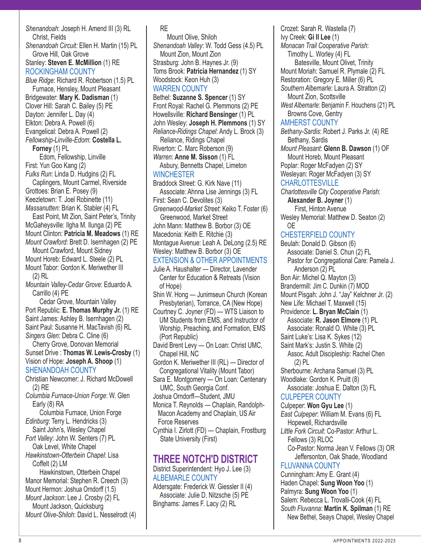*Shenandoah*: Joseph H. Amend III (3) RL Christ, Fields *Shenandoah Circuit:* Ellen H. Martin (15) PL Grove Hill, Oak Grove Stanley: **Steven E. McMillion** (1) RE ROCKINGHAM COUNTY *Blue Ridge*: Richard R. Robertson (1.5) PL Furnace, Hensley, Mount Pleasant Bridgewater: **Mary K. Dadisman** (1) Clover Hill: Sarah C. Bailey (5) PE Dayton: Jennifer L. Day (4) Elkton: Debra A. Powell (6) Evangelical: Debra A. Powell (2) *Fellowship-Linville-Edom*: **Costella L. Forney** (1) PL Edom, Fellowship, Linville First: Yun Goo Kang (2) *Fulks Run*: Linda D. Hudgins (2) FL Caplingers, Mount Carmel, Riverside Grottoes: Brian E. Posey (9) Keezletown: T. Joel Robinette (11) *Massanutten*: Brian K. Stabler (4) FL East Point, Mt Zion, Saint Peter's, Trinity McGaheysville: Ilgha M. Ilunga (2) PE Mount Clinton: **Patricia M. Meadows** (1) RE *Mount Crawford*: Brett D. Isernhagen (2) PE Mount Crawford, Mount Sidney Mount Horeb: Edward L. Steele (2) PL Mount Tabor: Gordon K. Meriwether III (2) RL *Mountain Valley-Cedar Grove*: Eduardo A. Carrillo (4) PE Cedar Grove, Mountain Valley Port Republic: **E. Thomas Murphy Jr.** (1) RE Saint James: Ashley B. Isernhagen (2) Saint Paul: Susanne H. MacTavish (6) RL *Singers Glen*: Debra C. Cline (6) Cherry Grove, Donovan Memorial Sunset Drive : **Thomas W. Lewis-Crosby** (1) Vision of Hope: **Joseph A. Shoop** (1) SHENANDOAH COUNTY Christian Newcomer: J. Richard McDowell (2) RE *Columbia Furnace-Union Forge*: W. Glen Early (8) RA Columbia Furnace, Union Forge *Edinburg*: Terry L. Hendricks (3) Saint John's, Wesley Chapel *Fort Valley*: John W. Senters (7) PL Oak Level, White Chapel *Hawkinstown-Otterbein Chapel*: Lisa Coffelt (2) LM Hawkinstown, Otterbein Chapel Manor Memorial: Stephen R. Creech (3) Mount Hermon: Joshua Orndorff (1.5) *Mount Jackson*: Lee J. Crosby (2) FL Mount Jackson, Quicksburg *Mount Olive-Shiloh*: David L. Nesselrodt (4)

RE Mount Olive, Shiloh *Shenandoah Valley*: W. Todd Gess (4.5) PL Mount Zion, Mount Zion Strasburg: John B. Haynes Jr. (9) Toms Brook: **Patricia Hernandez** (1) SY Woodstock: Keon Huh (3) WARREN COUNTY Bethel: **Suzanne S. Spencer** (1) SY Front Royal: Rachel G. Plemmons (2) PE Howellsville: **Richard Bensinger** (1) PL John Wesley: **Joseph H. Plemmons** (1) SY *Reliance-Ridings Chapel*: Andy L. Brock (3) Reliance, Ridings Chapel Riverton: C. Marc Roberson (9) *Warren*: **Anne M. Sisson** (1) FL Asbury, Bennetts Chapel, Limeton **WINCHESTER** Braddock Street: G. Kirk Nave (11) Associate: Ahnna Lise Jennings (3) FL First: Sean C. Devolites (3) *Greenwood-Market Street*: Keiko T. Foster (6) Greenwood, Market Street John Mann: Matthew B. Borbor (3) OE Macedonia: Keith E. Ritchie (3) Montague Avenue: Leah A. DeLong (2.5) RE Wesley: Matthew B. Borbor (3) OE EXTENSION & OTHER APPOINTMENTS Julie A. Haushalter — Director, Lavender Center for Education & Retreats (Vision of Hope) Shin W. Hong — Junimseun Church (Korean Presbyterian), Torrance, CA (New Hope) Courtney C. Joyner (FD) — WTS Liaison to UM Students from EMS, and Instructor of Worship, Preaching, and Formation, EMS (Port Republic) David Brent Levy — On Loan: Christ UMC, Chapel Hill, NC Gordon K. Meriwether III (RL) — Director of Congregational Vitality (Mount Tabor) Sara E. Montgomery — On Loan: Centenary UMC, South Georgia Conf. Joshua Orndorff—Student, JMU Monica T. Reynolds — Chaplain, Randolph-Macon Academy and Chaplain, US Air Force Reserves Cynthia I. Zirlott (FD) — Chaplain, Frostburg State University (First) **THREE NOTCH'D DISTRICT** District Superintendent: Hyo J. Lee (3) ALBEMARLE COUNTY

Aldersgate: Frederick W. Giessler II (4) Associate: Julie D. Nitzsche (5) PE Binghams: James F. Lacy (2) RL

Crozet: Sarah R. Wastella (7) Ivy Creek: **Gi Il Lee** (1) *Monacan Trail Cooperative Parish*: Timothy L. Worley (4) FL Batesville, Mount Olivet, Trinity Mount Moriah: Samuel R. Plymale (2) FL Restoration: Gregory E. Miller (6) PL *Southern Albemarle*: Laura A. Stratton (2) Mount Zion, Scottsville *West Albemarle*: Benjamin F. Houchens (21) PL Browns Cove, Gentry AMHERST COUNTY *Bethany-Sardis*: Robert J. Parks Jr. (4) RE Bethany, Sardis *Mount Pleasant*: **Glenn B. Dawson** (1) OF Mount Horeb, Mount Pleasant Poplar: Roger McFadyen (2) SY Wesleyan: Roger McFadyen (3) SY **CHARLOTTESVILLE** *Charlottesville City Cooperative Parish*: **Alexander B. Joyner** (1) First, Hinton Avenue Wesley Memorial: Matthew D. Seaton (2) OE CHESTERFIELD COUNTY Beulah: Donald D. Gibson (6) Associate: Daniel S. Chun (2) FL Pastor for Congregational Care: Pamela J. Anderson (2) PL Bon Air: Michel Q. Mayton (3) Brandermill: Jim C. Dunkin (7) MOD Mount Pisgah: John J. "Jay" Kelchner Jr. (2) New Life: Michael T. Maxwell (15) Providence: **L. Bryan McClain** (1) Associate: **R. Jason Elmore** (1) PL Associate: Ronald O. White (3) PL Saint Luke's: Lisa K. Sykes (12) Saint Mark's: Justin S. White (2)

Assoc. Adult Discipleship: Rachel Chen (2) PL Sherbourne: Archana Samuel (3) PL Woodlake: Gordon K. Pruitt (8)

Associate: Joshua E. Dalton (3) FL CULPEPER COUNTY

Culpeper: **Won Gyu Lee** (1) *East Culpeper*: William M. Evans (6) FL Hopewell, Richardsville *Little Fork Circuit*: Co-Pastor: Arthur L. Fellows (3) RLOC Co-Pastor: Norma Jean V. Fellows (3) OR Jeffersonton, Oak Shade, Woodland FLUVANNA COUNTY

Cunningham: Amy E. Grant (4) Haden Chapel: **Sung Woon Yoo** (1) Palmyra: **Sung Woon Yoo** (1) Salem: Rebecca L. Trovalli-Cook (4) FL *South Fluvanna*: **Martin K. Spilman** (1) RE New Bethel, Seays Chapel, Wesley Chapel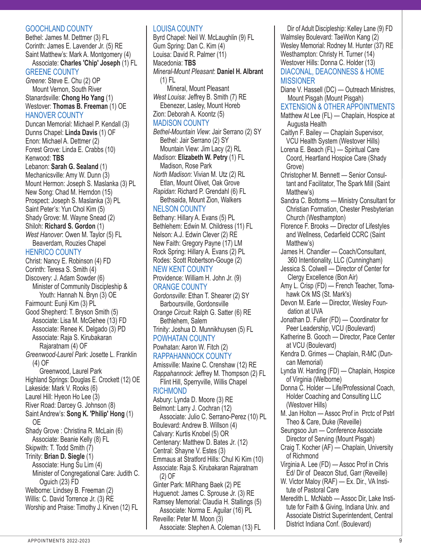#### GOOCHLAND COUNTY

Bethel: James M. Dettmer (3) FL Corinth: James E. Lavender Jr. (5) RE Saint Matthew's: Mark A. Montgomery (4)

Associate: **Charles 'Chip' Joseph** (1) FL GREENE COUNTY

*Greene*: Steve E. Chu (2) OP Mount Vernon, South River Stanardsville: **Chong Ho Yang** (1) Westover: **Thomas B. Freeman** (1) OE HANOVER COUNTY

Duncan Memorial: Michael P. Kendall (3) Dunns Chapel: **Linda Davis** (1) OF Enon: Michael A. Dettmer (2) Forest Grove: Linda E. Crabbs (10) Kenwood: **TBS** Lebanon: **Sarah G. Sealand** (1)

Mechanicsville: Amy W. Dunn (3) Mount Hermon: Joseph S. Maslanka (3) PL New Song: Chad M. Herndon (15) Prospect: Joseph S. Maslanka (3) PL Saint Peter's: Yun Chol Kim (5) Shady Grove: M. Wayne Snead (2) Shiloh: **Richard S. Gordon** (1) *West Hanover*: Owen M. Taylor (5) FL Beaverdam, Rouzies Chapel

#### HENRICO COUNTY

Christ: Nancy E. Robinson (4) FD Corinth: Teresa S. Smith (4) Discovery: J. Adam Sowder (6) Minister of Community Discipleship & Youth: Hannah N. Bryn (3) OE Fairmount: Eunji Kim (3) PL Good Shepherd: T. Bryson Smith (5) Associate: Lisa M. McGehee (13) FD Associate: Renee K. Delgado (3) PD Associate: Raja S. Kirubakaran Rajaratnam (4) OF *Greenwood-Laurel Park*: Josette L. Franklin (4) OF Greenwood, Laurel Park Highland Springs: Douglas E. Crockett (12) OE Lakeside: Mark V. Rooks (6) Laurel Hill: Hyeon Ho Lee (3) River Road: Darcey G. Johnson (8) Saint Andrew's: **Song K. 'Philip' Hong** (1) OE Shady Grove : Christina R. McLain (6) Associate: Beanie Kelly (8) FL Skipwith: T. Todd Smith (7) Trinity: **Brian D. Siegle** (1) Associate: Hung Su Lim (4) Minister of Congregational Care: Judith C. Oguich (23) FD Welborne: Lindsey B. Freeman (2) Willis: C. David Torrence Jr. (3) RE Worship and Praise: Timothy J. Kirven (12) FL

#### LOUISA COUNTY

Byrd Chapel: Neil W. McLaughlin (9) FL Gum Spring: Dan C. Kim (4) Louisa: David R. Palmer (11) Macedonia: **TBS** *Mineral-Mount Pleasant*: **Daniel H. Albrant**  (1) FL Mineral, Mount Pleasant *West Louisa*: Jeffrey B. Smith (7) RE Ebenezer, Lasley, Mount Horeb Zion: Deborah A. Koontz (5) MADISON COUNTY *Bethel-Mountain View*: Jair Serrano (2) SY Bethel: Jair Serrano (2) SY Mountain View: Jim Lacy (2) RL *Madison*: **Elizabeth W. Petry** (1) FL Madison, Rose Park *North Madison*: Vivian M. Utz (2) RL Etlan, Mount Olivet, Oak Grove *Rapidan*: Richard P. Grendahl (6) FL Bethsaida, Mount Zion, Walkers NELSON COUNTY Bethany: Hillary A. Evans (5) PL Bethlehem: Edwin M. Childress (11) FL Nelson: A.J. Edwin Clever (2) RE New Faith: Gregory Payne (17) LM Rock Spring: Hillary A. Evans (2) PL Rodes: Scott Robertson-Gouge (2) NEW KENT COUNTY Providence: William H. John Jr. (9) ORANGE COUNTY *Gordonsville*: Ethan T. Shearer (2) SY Barboursville, Gordonsville *Orange Circuit*: Ralph G. Satter (6) RE Bethlehem, Salem Trinity: Joshua D. Munnikhuysen (5) FL POWHATAN COUNTY Powhatan: Aaron W. Fitch (2) RAPPAHANNOCK COUNTY Amissville: Maxine C. Crenshaw (12) RE *Rappahannock*: Jeffrey M. Thompson (2) FL Flint Hill, Sperryville, Willis Chapel **RICHMOND** Asbury: Lynda D. Moore (3) RE Belmont: Larry J. Cochran (12) Associate: Julio C. Serrano-Perez (10) PL Boulevard: Andrew B. Willson (4) Calvary: Kurtis Knobel (5) OR Centenary: Matthew D. Bates Jr. (12) Central: Shayne V. Estes (3) Emmaus at Stratford Hills: Chul Ki Kim (10) Associate: Raja S. Kirubakaran Rajaratnam (2) OF Ginter Park: MiRhang Baek (2) PE Huguenot: James C. Sprouse Jr. (3) RE Ramsey Memorial: Claudia H. Stallings (5) Associate: Norma E. Aguilar (16) PL Reveille: Peter M. Moon (3) Associate: Stephen A. Coleman (13) FL

Dir of Adult Discipleship: Kelley Lane (9) FD Walmsley Boulevard: TaeWon Kang (2) Wesley Memorial: Rodney M. Hunter (37) RE Westhampton: Christy H. Turner (14) Westover Hills: Donna C. Holder (13) DIACONAL, DEACONNESS & HOME **MISSIONER** Diane V. Hassell (DC) — Outreach Ministres, Mount Pisgah (Mount Pisgah) EXTENSION & OTHER APPOINTMENTS Matthew At Lee (FL) — Chaplain, Hospice at Augusta Health Caitlyn F. Bailey — Chaplain Supervisor, VCU Health System (Westover Hills) Lorena E. Beach (FL) — Spiritual Care Coord, Heartland Hospice Care (Shady Grove) Christopher M. Bennett — Senior Consultant and Facilitator, The Spark Mill (Saint Matthew's) Sandra C. Bottoms — Ministry Consultant for Christian Formation, Chester Presbyterian Church (Westhampton) Florence F. Brooks — Director of Lifestyles and Wellness, Cedarfield CCRC (Saint Matthew's) James H. Chandler — Coach/Consultant, 360 Intentionality, LLC (Cunningham) Jessica S. Colwell — Director of Center for Clergy Excellence (Bon Air) Amy L. Crisp (FD) — French Teacher, Tomahawk Crk MS (St. Mark's) Devon M. Earle — Director, Wesley Foundation at UVA Jonathan D. Fuller (FD) — Coordinator for Peer Leadership, VCU (Boulevard) Katherine B. Gooch — Director, Pace Center at VCU (Boulevard) Kendra D. Grimes — Chaplain, R-MC (Duncan Memorial) Lynda W. Harding (FD) — Chaplain, Hospice of Virginia (Welborne) Donna C. Holder — Life/Professional Coach, Holder Coaching and Consulting LLC (Westover Hills) M. Jan Holton — Assoc Prof in Prctc of Pstrl Theo & Care, Duke (Reveille) Seungsoo Jun — Conference Associate Director of Serving (Mount Pisgah) Craig T. Kocher (AF) — Chaplain, University of Richmond Virginia A. Lee (FD) — Assoc Prof in Chris Ed/ Dir of Deacon Stud, Garr (Reveille) W. Victor Maloy (RAF) — Ex. Dir., VA Institute of Pastoral Care Meredith L. McNabb — Assoc Dir, Lake Institute for Faith & Giving, Indiana Univ. and Associate District Superintendent, Central District Indiana Conf. (Boulevard)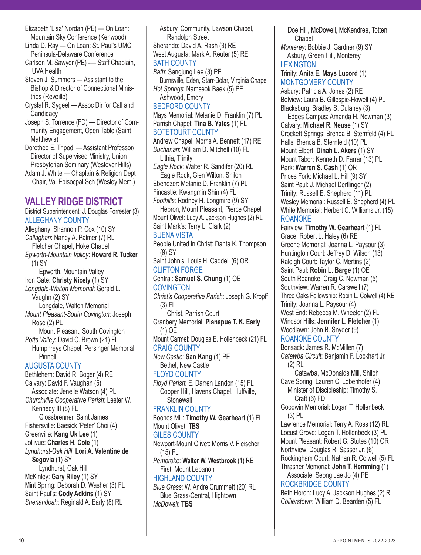- Elizabeth 'Lisa' Nordan (PE) On Loan: Mountain Sky Conference (Kenwood)
- Linda D. Ray On Loan: St. Paul's UMC, Peninsula-Delaware Conference
- Carlson M. Sawyer (PE) -— Staff Chaplain, UVA Health
- Steven J. Summers Assistant to the Bishop & Director of Connectional Ministries (Reveille)
- Crystal R. Sygeel Assoc Dir for Call and **Candidacy**
- Joseph S. Torrence (FD) Director of Community Engagement, Open Table (Saint Matthew's)
- Dorothee E. Tripodi Assistant Professor/ Director of Supervised Ministry, Union Presbyterian Seminary (Westover Hills)
- Adam J. White Chaplain & Religion Dept Chair, Va. Episocpal Sch (Wesley Mem.)

# **VALLEY RIDGE DISTRICT**

District Superintendent: J. Douglas Forrester (3) ALLEGHANY COUNTY Alleghany: Shannon P. Cox (10) SY *Callaghan*: Nancy A. Palmer (7) RL Fletcher Chapel, Hoke Chapel *Epworth-Mountain Valley*: **Howard R. Tucker**  (1) SY Epworth, Mountain Valley Iron Gate: **Christy Nicely** (1) SY *Longdale-Walton Memorial*: Gerald L. Vaughn (2) SY Longdale, Walton Memorial *Mount Pleasant-South Covington*: Joseph Rose (2) PL Mount Pleasant, South Covington *Potts Valley*: David C. Brown (21) FL Humphreys Chapel, Persinger Memorial, **Pinnell** AUGUSTA COUNTY Bethlehem: David R. Boger (4) RE Calvary: David F. Vaughan (5) Associate: Jenelle Watson (4) PL *Churchville Cooperative Parish*: Lester W. Kennedy III (8) FL Glossbrenner, Saint James Fishersville: Baesick 'Peter' Choi (4) Greenville: **Kang Uk Lee** (1) Jollivue: **Charles H. Cole** (1) *Lyndhurst-Oak Hill*: **Lori A. Valentine de Segovia** (1) SY Lyndhurst, Oak Hill McKinley: **Gary Riley** (1) SY

Mint Spring: Deborah D. Washer (3) FL Saint Paul's: **Cody Adkins** (1) SY *Shenandoah*: Reginald A. Early (8) RL

Asbury, Community, Lawson Chapel, Randolph Street Sherando: David A. Rash (3) RE West Augusta: Mark A. Reuter (5) RE BATH COUNTY *Bath*: Sangjung Lee (3) PE Burnsville, Eden, Starr-Bolar, Virginia Chapel *Hot Springs*: Namseok Baek (5) PE Ashwood, Emory BEDFORD COUNTY Mays Memorial: Melanie D. Franklin (7) PL Parrish Chapel: **Tina B. Yates** (1) FL BOTETOURT COUNTY Andrew Chapel: Morris A. Bennett (17) RE *Buchanan*: William D. Mitchell (10) FL Lithia, Trinity *Eagle Rock*: Walter R. Sandifer (20) RL Eagle Rock, Glen Wilton, Shiloh Ebenezer: Melanie D. Franklin (7) PL Fincastle: Kwangmin Shin (4) FL *Foothills*: Rodney H. Longmire (9) SY Hebron, Mount Pleasant, Pierce Chapel Mount Olivet: Lucy A. Jackson Hughes (2) RL Saint Mark's: Terry L. Clark (2) BUENA VISTA People United in Christ: Danta K. Thompson (9) SY Saint John's: Louis H. Caddell (6) OR CLIFTON FORGE Central: **Samuel S. Chung** (1) OE **COVINGTON** *Christ's Cooperative Parish*: Joseph G. Kropff (3) FL Christ, Parrish Court Granbery Memorial: **Pianapue T. K. Early** (1) OE Mount Carmel: Douglas E. Hollenbeck (21) FL CRAIG COUNTY *New Castle*: **San Kang** (1) PE Bethel, New Castle FLOYD COUNTY *Floyd Parish*: E. Darren Landon (15) FL Copper Hill, Havens Chapel, Huffville, **Stonewall** FRANKLIN COUNTY Boones Mill: **Timothy W. Gearheart** (1) FL Mount Olivet: **TBS** GILES COUNTY Newport-Mount Olivet: Morris V. Fleischer (15) FL *Pembroke*: **Walter W. Westbrook** (1) RE First, Mount Lebanon HIGHLAND COUNTY *Blue Grass*: W. Andre Crummett (20) RL Blue Grass-Central, Hightown *McDowell*: **TBS**

Doe Hill, McDowell, McKendree, Totten **Chapel** 

*Monterey*: Bobbie J. Gardner (9) SY Asbury, Green Hill, Monterey **LEXINGTON** 

#### Trinity: **Anita E. Mays Lucord** (1) MONTGOMERY COUNTY

Asbury: Patricia A. Jones (2) RE Belview: Laura B. Gillespie-Howell (4) PL Blacksburg: Bradley S. Dulaney (3)

Edges Campus: Amanda H. Newman (3) Calvary: **Michael R. Neuse** (1) SY Crockett Springs: Brenda B. Sternfeld (4) PL Halls: Brenda B. Sternfeld (10) PL Mount Elbert: **Dinah L. Akers** (1) SY Mount Tabor: Kenneth D. Farrar (13) PL Park: **Warren S. Cash** (1) OR Prices Fork: Michael L. Hill (9) SY Saint Paul: J. Michael Derflinger (2) Trinity: Russell E. Shepherd (11) PL Wesley Memorial: Russell E. Shepherd (4) PL White Memorial: Herbert C. Williams Jr. (15)

### ROANOKE

Fairview: **Timothy W. Gearheart** (1) FL Grace: Robert L. Haley (6) RE Greene Memorial: Joanna L. Paysour (3) Huntington Court: Jeffrey D. Wilson (13) Raleigh Court: Taylor C. Mertins (2) Saint Paul: **Robin L. Barge** (1) OE South Roanoke: Craig C. Newman (5) Southview: Warren R. Carswell (7) Three Oaks Fellowship: Robin L. Colwell (4) RE Trinity: Joanna L. Paysour (4) West End: Rebecca M. Wheeler (2) FL Windsor Hills: **Jennifer L. Fletcher** (1) Woodlawn: John B. Snyder (9) ROANOKE COUNTY

Bonsack: James R. McMillen (7)

*Catawba Circuit*: Benjamin F. Lockhart Jr. (2) RL

 Catawba, McDonalds Mill, Shiloh Cave Spring: Lauren C. Lobenhofer (4) Minister of Discipleship: Timothy S. Craft (6) FD

Goodwin Memorial: Logan T. Hollenbeck (3) PL

Lawrence Memorial: Terry A. Ross (12) RL Locust Grove: Logan T. Hollenbeck (3) PL Mount Pleasant: Robert G. Stutes (10) OR Northview: Douglas R. Sasser Jr. (6) Rockingham Court: Nathan R. Colwell (5) FL Thrasher Memorial: **John T. Hemming** (1)

Associate: Seong Jae Jo (4) PE ROCKBRIDGE COUNTY

Beth Horon: Lucy A. Jackson Hughes (2) RL *Collierstown*: William D. Bearden (5) FL